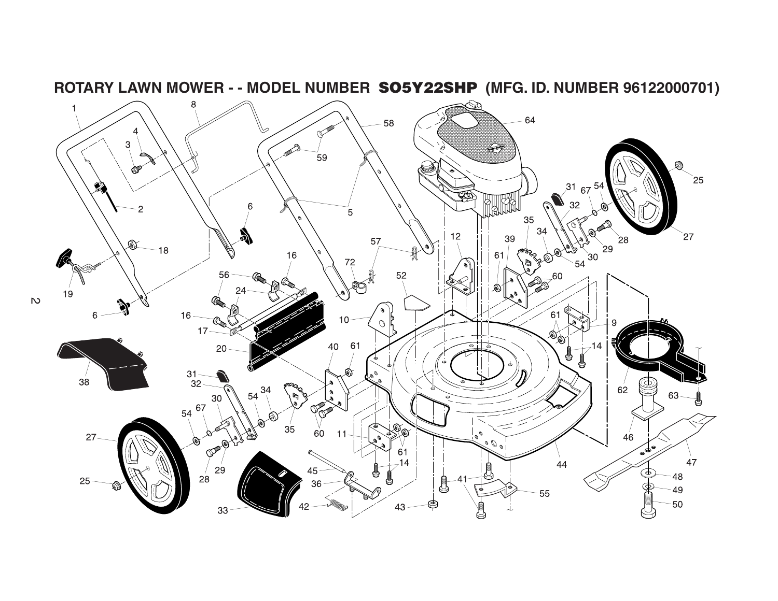

**ROTARY LAWN MOWER - - MODEL NUMBER SO5Y22SHP (MFG. ID. NUMBER 96122000701)**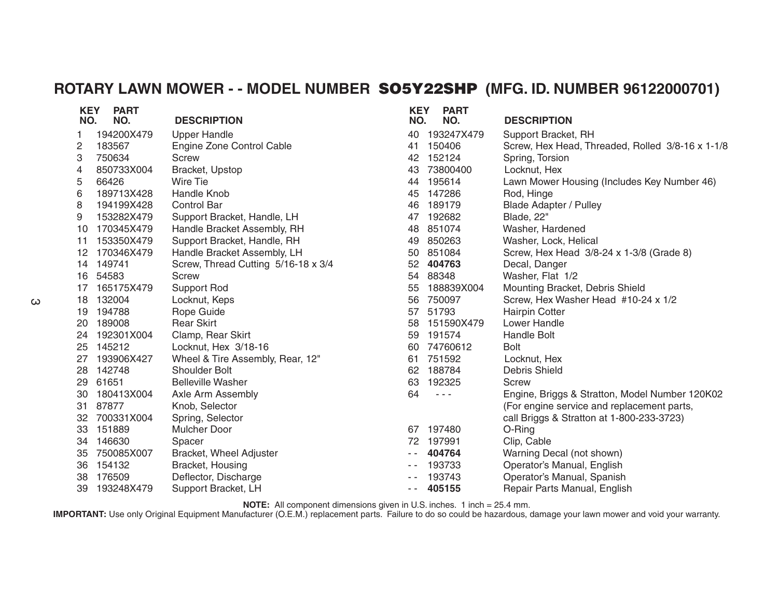## **ROTARY LAWN MOWER - - MODEL NUMBER SO5Y22SHP (MFG. ID. NUMBER 96122000701)**

| <b>KEY</b> | <b>PART</b> |                                     | <b>KEY</b>                               | <b>PART</b> |                                                  |
|------------|-------------|-------------------------------------|------------------------------------------|-------------|--------------------------------------------------|
| NO.        | NO.         | <b>DESCRIPTION</b>                  | NO.                                      | NO.         | <b>DESCRIPTION</b>                               |
| 1          | 194200X479  | <b>Upper Handle</b>                 | 40                                       | 193247X479  | Support Bracket, RH                              |
| 2          | 183567      | Engine Zone Control Cable           | 41                                       | 150406      | Screw, Hex Head, Threaded, Rolled 3/8-16 x 1-1/8 |
| 3          | 750634      | Screw                               | 42                                       | 152124      | Spring, Torsion                                  |
| 4          | 850733X004  | Bracket, Upstop                     | 43                                       | 73800400    | Locknut, Hex                                     |
| 5          | 66426       | Wire Tie                            | 44                                       | 195614      | Lawn Mower Housing (Includes Key Number 46)      |
| 6          | 189713X428  | Handle Knob                         | 45                                       | 147286      | Rod, Hinge                                       |
| 8          | 194199X428  | <b>Control Bar</b>                  | 46                                       | 189179      | <b>Blade Adapter / Pulley</b>                    |
| 9          | 153282X479  | Support Bracket, Handle, LH         | 47                                       | 192682      | Blade, 22"                                       |
| 10         | 170345X479  | Handle Bracket Assembly, RH         | 48                                       | 851074      | Washer, Hardened                                 |
| 11         | 153350X479  | Support Bracket, Handle, RH         | 49                                       | 850263      | Washer, Lock, Helical                            |
| 12         | 170346X479  | Handle Bracket Assembly, LH         | 50                                       | 851084      | Screw, Hex Head 3/8-24 x 1-3/8 (Grade 8)         |
| 14         | 149741      | Screw, Thread Cutting 5/16-18 x 3/4 | 52                                       | 404763      | Decal, Danger                                    |
| 16         | 54583       | <b>Screw</b>                        | 54                                       | 88348       | Washer, Flat 1/2                                 |
| 17         | 165175X479  | <b>Support Rod</b>                  | 55                                       | 188839X004  | Mounting Bracket, Debris Shield                  |
| 18         | 132004      | Locknut, Keps                       | 56                                       | 750097      | Screw, Hex Washer Head #10-24 x 1/2              |
| 19         | 194788      | Rope Guide                          | 57                                       | 51793       | <b>Hairpin Cotter</b>                            |
| 20         | 189008      | <b>Rear Skirt</b>                   | 58                                       | 151590X479  | Lower Handle                                     |
| 24         | 192301X004  | Clamp, Rear Skirt                   | 59                                       | 191574      | <b>Handle Bolt</b>                               |
| 25         | 145212      | Locknut, Hex 3/18-16                | 60                                       | 74760612    | <b>Bolt</b>                                      |
| 27         | 193906X427  | Wheel & Tire Assembly, Rear, 12"    | 61                                       | 751592      | Locknut, Hex                                     |
| 28         | 142748      | Shoulder Bolt                       | 62                                       | 188784      | Debris Shield                                    |
| 29         | 61651       | <b>Belleville Washer</b>            | 63                                       | 192325      | Screw                                            |
| 30         | 180413X004  | Axle Arm Assembly                   | 64                                       | $  -$       | Engine, Briggs & Stratton, Model Number 120K02   |
| 31         | 87877       | Knob, Selector                      |                                          |             | (For engine service and replacement parts,       |
| 32         | 700331X004  | Spring, Selector                    |                                          |             | call Briggs & Stratton at 1-800-233-3723)        |
| 33         | 151889      | <b>Mulcher Door</b>                 | 67                                       | 197480      | O-Ring                                           |
| 34         | 146630      | Spacer                              | 72                                       | 197991      | Clip, Cable                                      |
| 35         | 750085X007  | <b>Bracket, Wheel Adjuster</b>      | $\frac{1}{2} \left( \frac{1}{2} \right)$ | 404764      | Warning Decal (not shown)                        |
| 36         | 154132      | Bracket, Housing                    | $\frac{1}{2} \left( \frac{1}{2} \right)$ | 193733      | Operator's Manual, English                       |
| 38         | 176509      | Deflector, Discharge                |                                          | 193743      | Operator's Manual, Spanish                       |
| 39         | 193248X479  | Support Bracket, LH                 | $ -$                                     | 405155      | Repair Parts Manual, English                     |

**NOTE:** All component dimensions given in U.S. inches. 1 inch = 25.4 mm.

**IMPORTANT:** Use only Original Equipment Manufacturer (O.E.M.) replacement parts. Failure to do so could be hazardous, damage your lawn mower and void your warranty.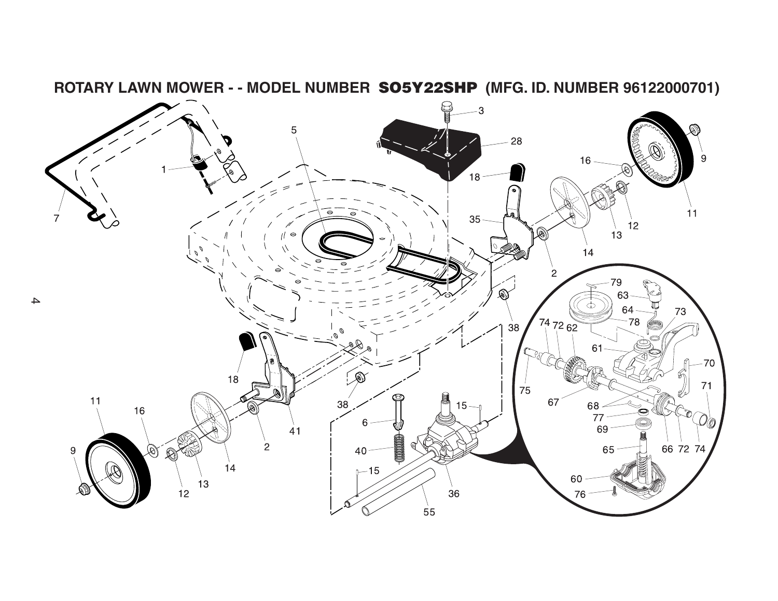

**ROTARY LAWN MOWER - - MODEL NUMBER SO5Y22SHP (MFG. ID. NUMBER 96122000701)**